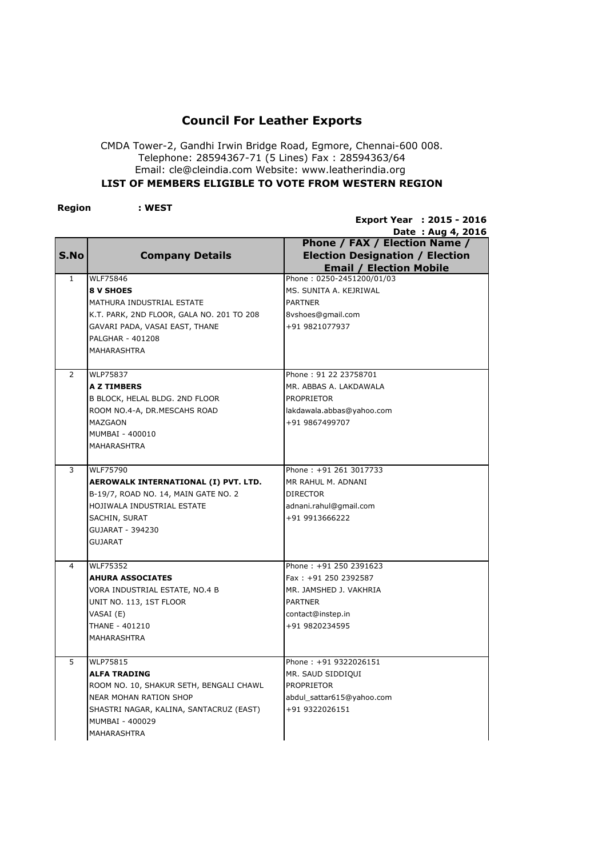## **Council For Leather Exports**

## CMDA Tower-2, Gandhi Irwin Bridge Road, Egmore, Chennai-600 008. Telephone: 28594367-71 (5 Lines) Fax : 28594363/64 Email: cle@cleindia.com Website: www.leatherindia.org

**LIST OF MEMBERS ELIGIBLE TO VOTE FROM WESTERN REGION**

**Region : WEST**

## **Export Year : 2015 - 2016**

|                |                                           | Date: Aug 4, 2016                                                       |
|----------------|-------------------------------------------|-------------------------------------------------------------------------|
| S.No           | <b>Company Details</b>                    | Phone / FAX / Election Name /<br><b>Election Designation / Election</b> |
|                |                                           | <b>Email / Election Mobile</b>                                          |
| $\mathbf{1}$   | <b>WLF75846</b>                           | Phone: 0250-2451200/01/03                                               |
|                | <b>8 V SHOES</b>                          | MS. SUNITA A. KEJRIWAL                                                  |
|                | MATHURA INDUSTRIAL ESTATE                 | <b>PARTNER</b>                                                          |
|                | K.T. PARK, 2ND FLOOR, GALA NO. 201 TO 208 | 8vshoes@gmail.com                                                       |
|                | GAVARI PADA, VASAI EAST, THANE            | +91 9821077937                                                          |
|                | PALGHAR - 401208                          |                                                                         |
|                | MAHARASHTRA                               |                                                                         |
| $\overline{2}$ | <b>WLP75837</b>                           | Phone: 91 22 23758701                                                   |
|                | <b>A Z TIMBERS</b>                        | MR. ABBAS A. LAKDAWALA                                                  |
|                | B BLOCK, HELAL BLDG. 2ND FLOOR            | <b>PROPRIETOR</b>                                                       |
|                | ROOM NO.4-A, DR.MESCAHS ROAD              | lakdawala.abbas@yahoo.com                                               |
|                | <b>MAZGAON</b>                            | +91 9867499707                                                          |
|                | MUMBAI - 400010                           |                                                                         |
|                | MAHARASHTRA                               |                                                                         |
| 3              | <b>WLF75790</b>                           | Phone: +91 261 3017733                                                  |
|                | AEROWALK INTERNATIONAL (I) PVT. LTD.      | MR RAHUL M. ADNANI                                                      |
|                | B-19/7, ROAD NO. 14, MAIN GATE NO. 2      | <b>DIRECTOR</b>                                                         |
|                | HOJIWALA INDUSTRIAL ESTATE                | adnani.rahul@gmail.com                                                  |
|                | SACHIN, SURAT                             | +91 9913666222                                                          |
|                | GUJARAT - 394230                          |                                                                         |
|                | <b>GUJARAT</b>                            |                                                                         |
| $\overline{4}$ | <b>WLF75352</b>                           | Phone: +91 250 2391623                                                  |
|                | <b>AHURA ASSOCIATES</b>                   | Fax: +91 250 2392587                                                    |
|                | VORA INDUSTRIAL ESTATE, NO.4 B            | MR. JAMSHED J. VAKHRIA                                                  |
|                | UNIT NO. 113, 1ST FLOOR                   | <b>PARTNER</b>                                                          |
|                | VASAI (E)                                 | contact@instep.in                                                       |
|                | THANE - 401210                            | +91 9820234595                                                          |
|                | MAHARASHTRA                               |                                                                         |
| 5.             | WI P75815                                 | Phone: +91 9322026151                                                   |
|                | <b>ALFA TRADING</b>                       | MR. SAUD SIDDIQUI                                                       |
|                | ROOM NO. 10, SHAKUR SETH, BENGALI CHAWL   | <b>PROPRIETOR</b>                                                       |
|                | NEAR MOHAN RATION SHOP                    | abdul_sattar615@yahoo.com                                               |
|                | SHASTRI NAGAR, KALINA, SANTACRUZ (EAST)   | +91 9322026151                                                          |
|                | MUMBAI - 400029                           |                                                                         |
|                | MAHARASHTRA                               |                                                                         |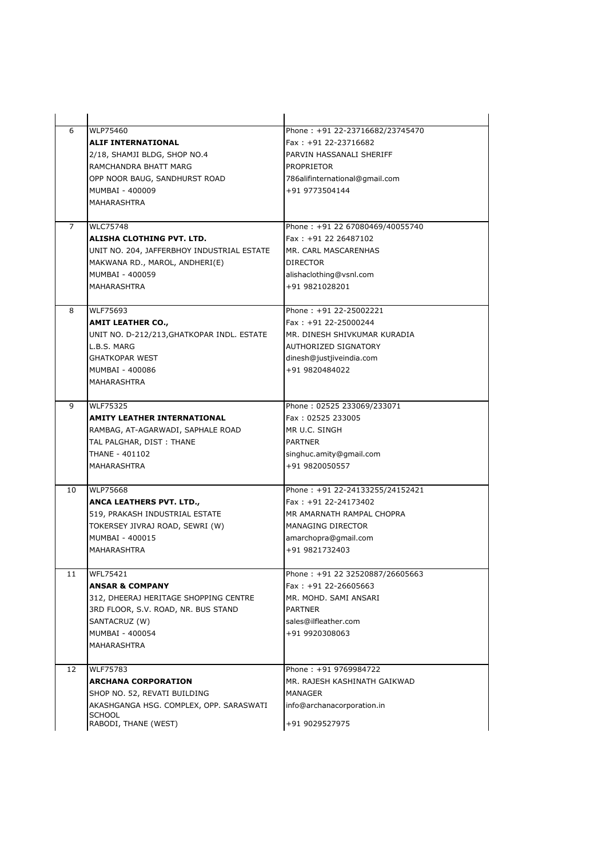| 6  | WLP75460                                   | Phone: +91 22-23716682/23745470 |
|----|--------------------------------------------|---------------------------------|
|    | <b>ALIF INTERNATIONAL</b>                  | Fax: +91 22-23716682            |
|    | 2/18, SHAMJI BLDG, SHOP NO.4               | PARVIN HASSANALI SHERIFF        |
|    | RAMCHANDRA BHATT MARG                      | <b>PROPRIETOR</b>               |
|    | OPP NOOR BAUG, SANDHURST ROAD              | 786alifinternational@gmail.com  |
|    | MUMBAI - 400009                            | +91 9773504144                  |
|    | <b>MAHARASHTRA</b>                         |                                 |
|    |                                            |                                 |
| 7  | <b>WLC75748</b>                            | Phone: +91 22 67080469/40055740 |
|    | ALISHA CLOTHING PVT. LTD.                  | Fax: +91 22 26487102            |
|    | UNIT NO. 204, JAFFERBHOY INDUSTRIAL ESTATE | MR. CARL MASCARENHAS            |
|    | MAKWANA RD., MAROL, ANDHERI(E)             | <b>DIRECTOR</b>                 |
|    | MUMBAI - 400059                            | alishaclothing@vsnl.com         |
|    | MAHARASHTRA                                | +91 9821028201                  |
|    |                                            |                                 |
| 8  | WLF75693                                   | Phone: +91 22-25002221          |
|    | <b>AMIT LEATHER CO.,</b>                   | Fax: +91 22-25000244            |
|    | UNIT NO. D-212/213, GHATKOPAR INDL. ESTATE | MR. DINESH SHIVKUMAR KURADIA    |
|    | L.B.S. MARG                                | AUTHORIZED SIGNATORY            |
|    | <b>GHATKOPAR WEST</b>                      | dinesh@justjiveindia.com        |
|    | MUMBAI - 400086                            | +91 9820484022                  |
|    | <b>MAHARASHTRA</b>                         |                                 |
|    |                                            |                                 |
| 9  | <b>WLF75325</b>                            | Phone: 02525 233069/233071      |
|    | <b>AMITY LEATHER INTERNATIONAL</b>         | Fax: 02525 233005               |
|    | RAMBAG, AT-AGARWADI, SAPHALE ROAD          | MR U.C. SINGH                   |
|    | TAL PALGHAR, DIST: THANE                   | <b>PARTNER</b>                  |
|    | THANE - 401102                             | singhuc.amity@gmail.com         |
|    | MAHARASHTRA                                | +91 9820050557                  |
| 10 | WLP75668                                   | Phone: +91 22-24133255/24152421 |
|    | ANCA LEATHERS PVT. LTD.,                   | Fax: +91 22-24173402            |
|    | 519, PRAKASH INDUSTRIAL ESTATE             | MR AMARNATH RAMPAL CHOPRA       |
|    | TOKERSEY JIVRAJ ROAD, SEWRI (W)            | <b>MANAGING DIRECTOR</b>        |
|    | MUMBAI - 400015                            | amarchopra@gmail.com            |
|    | MAHARASHTRA                                | +91 9821732403                  |
|    |                                            |                                 |
| 11 | WFL75421                                   | Phone: +91 22 32520887/26605663 |
|    | <b>ANSAR &amp; COMPANY</b>                 | Fax: $+91$ 22-26605663          |
|    | 312, DHEERAJ HERITAGE SHOPPING CENTRE      | MR. MOHD. SAMI ANSARI           |
|    | 3RD FLOOR, S.V. ROAD, NR. BUS STAND        | <b>PARTNER</b>                  |
|    | SANTACRUZ (W)                              | sales@ilfleather.com            |
|    | MUMBAI - 400054                            | +91 9920308063                  |
|    | MAHARASHTRA                                |                                 |
| 12 | WLF75783                                   | Phone: +91 9769984722           |
|    | <b>ARCHANA CORPORATION</b>                 | MR. RAJESH KASHINATH GAIKWAD    |
|    | SHOP NO. 52, REVATI BUILDING               | MANAGER                         |
|    | AKASHGANGA HSG. COMPLEX, OPP. SARASWATI    | info@archanacorporation.in      |
|    | <b>SCHOOL</b>                              |                                 |
|    | RABODI, THANE (WEST)                       | +91 9029527975                  |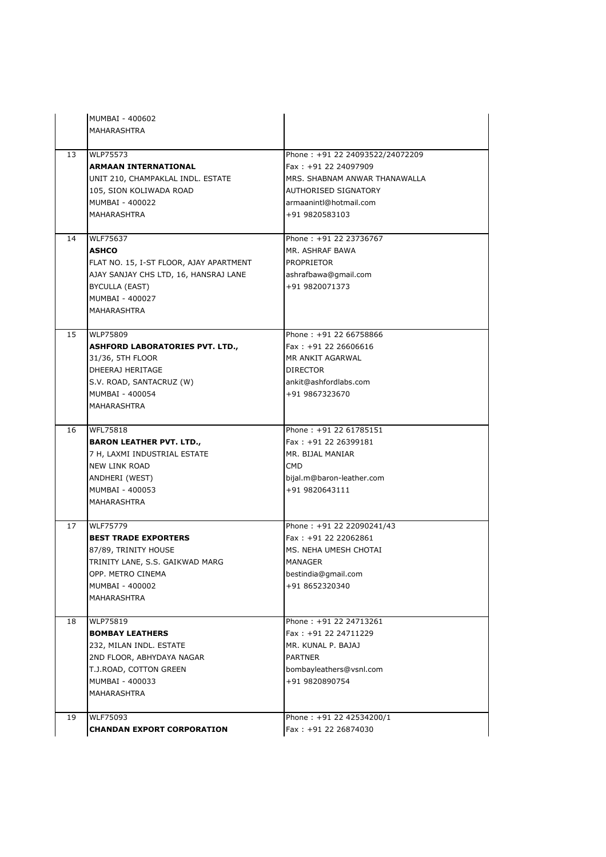| <b>MAHARASHTRA</b><br><b>WLP75573</b><br>Phone: +91 22 24093522/24072209<br>13<br><b>ARMAAN INTERNATIONAL</b><br>Fax: +91 22 24097909<br>MRS. SHABNAM ANWAR THANAWALLA<br>UNIT 210, CHAMPAKLAL INDL. ESTATE<br>AUTHORISED SIGNATORY<br>105, SION KOLIWADA ROAD<br>MUMBAI - 400022<br>armaanintl@hotmail.com<br>MAHARASHTRA<br>+91 9820583103<br>Phone: +91 22 23736767<br>14<br><b>WLF75637</b><br><b>ASHCO</b><br>MR. ASHRAF BAWA<br>FLAT NO. 15, I-ST FLOOR, AJAY APARTMENT<br><b>PROPRIETOR</b><br>AJAY SANJAY CHS LTD, 16, HANSRAJ LANE<br>ashrafbawa@gmail.com<br>+91 9820071373<br><b>BYCULLA (EAST)</b><br>MUMBAI - 400027<br>MAHARASHTRA<br>15<br>Phone: +91 22 66758866<br><b>WLP75809</b><br><b>ASHFORD LABORATORIES PVT. LTD.,</b><br>Fax: +91 22 26606616<br>31/36, 5TH FLOOR<br>MR ANKIT AGARWAL<br>DHEERAJ HERITAGE<br><b>DIRECTOR</b><br>ankit@ashfordlabs.com<br>S.V. ROAD, SANTACRUZ (W)<br>MUMBAI - 400054<br>+91 9867323670<br><b>MAHARASHTRA</b><br>Phone: +91 22 61785151<br>16<br>WFL75818<br>Fax: +91 22 26399181<br><b>BARON LEATHER PVT. LTD.,</b><br>MR. BIJAL MANIAR<br>7 H, LAXMI INDUSTRIAL ESTATE<br><b>NEW LINK ROAD</b><br><b>CMD</b><br>ANDHERI (WEST)<br>bijal.m@baron-leather.com<br>+91 9820643111<br>MUMBAI - 400053<br>MAHARASHTRA<br>Phone: +91 22 22090241/43<br>17<br><b>WLF75779</b><br><b>BEST TRADE EXPORTERS</b><br>Fax: +91 22 22062861<br>87/89, TRINITY HOUSE<br>MS. NEHA UMESH CHOTAI<br>TRINITY LANE, S.S. GAIKWAD MARG<br><b>MANAGER</b> |
|---------------------------------------------------------------------------------------------------------------------------------------------------------------------------------------------------------------------------------------------------------------------------------------------------------------------------------------------------------------------------------------------------------------------------------------------------------------------------------------------------------------------------------------------------------------------------------------------------------------------------------------------------------------------------------------------------------------------------------------------------------------------------------------------------------------------------------------------------------------------------------------------------------------------------------------------------------------------------------------------------------------------------------------------------------------------------------------------------------------------------------------------------------------------------------------------------------------------------------------------------------------------------------------------------------------------------------------------------------------------------------------------------------------------------------------------------------------------------------------------|
|                                                                                                                                                                                                                                                                                                                                                                                                                                                                                                                                                                                                                                                                                                                                                                                                                                                                                                                                                                                                                                                                                                                                                                                                                                                                                                                                                                                                                                                                                             |
|                                                                                                                                                                                                                                                                                                                                                                                                                                                                                                                                                                                                                                                                                                                                                                                                                                                                                                                                                                                                                                                                                                                                                                                                                                                                                                                                                                                                                                                                                             |
|                                                                                                                                                                                                                                                                                                                                                                                                                                                                                                                                                                                                                                                                                                                                                                                                                                                                                                                                                                                                                                                                                                                                                                                                                                                                                                                                                                                                                                                                                             |
|                                                                                                                                                                                                                                                                                                                                                                                                                                                                                                                                                                                                                                                                                                                                                                                                                                                                                                                                                                                                                                                                                                                                                                                                                                                                                                                                                                                                                                                                                             |
|                                                                                                                                                                                                                                                                                                                                                                                                                                                                                                                                                                                                                                                                                                                                                                                                                                                                                                                                                                                                                                                                                                                                                                                                                                                                                                                                                                                                                                                                                             |
|                                                                                                                                                                                                                                                                                                                                                                                                                                                                                                                                                                                                                                                                                                                                                                                                                                                                                                                                                                                                                                                                                                                                                                                                                                                                                                                                                                                                                                                                                             |
|                                                                                                                                                                                                                                                                                                                                                                                                                                                                                                                                                                                                                                                                                                                                                                                                                                                                                                                                                                                                                                                                                                                                                                                                                                                                                                                                                                                                                                                                                             |
|                                                                                                                                                                                                                                                                                                                                                                                                                                                                                                                                                                                                                                                                                                                                                                                                                                                                                                                                                                                                                                                                                                                                                                                                                                                                                                                                                                                                                                                                                             |
|                                                                                                                                                                                                                                                                                                                                                                                                                                                                                                                                                                                                                                                                                                                                                                                                                                                                                                                                                                                                                                                                                                                                                                                                                                                                                                                                                                                                                                                                                             |
|                                                                                                                                                                                                                                                                                                                                                                                                                                                                                                                                                                                                                                                                                                                                                                                                                                                                                                                                                                                                                                                                                                                                                                                                                                                                                                                                                                                                                                                                                             |
|                                                                                                                                                                                                                                                                                                                                                                                                                                                                                                                                                                                                                                                                                                                                                                                                                                                                                                                                                                                                                                                                                                                                                                                                                                                                                                                                                                                                                                                                                             |
|                                                                                                                                                                                                                                                                                                                                                                                                                                                                                                                                                                                                                                                                                                                                                                                                                                                                                                                                                                                                                                                                                                                                                                                                                                                                                                                                                                                                                                                                                             |
|                                                                                                                                                                                                                                                                                                                                                                                                                                                                                                                                                                                                                                                                                                                                                                                                                                                                                                                                                                                                                                                                                                                                                                                                                                                                                                                                                                                                                                                                                             |
|                                                                                                                                                                                                                                                                                                                                                                                                                                                                                                                                                                                                                                                                                                                                                                                                                                                                                                                                                                                                                                                                                                                                                                                                                                                                                                                                                                                                                                                                                             |
|                                                                                                                                                                                                                                                                                                                                                                                                                                                                                                                                                                                                                                                                                                                                                                                                                                                                                                                                                                                                                                                                                                                                                                                                                                                                                                                                                                                                                                                                                             |
|                                                                                                                                                                                                                                                                                                                                                                                                                                                                                                                                                                                                                                                                                                                                                                                                                                                                                                                                                                                                                                                                                                                                                                                                                                                                                                                                                                                                                                                                                             |
|                                                                                                                                                                                                                                                                                                                                                                                                                                                                                                                                                                                                                                                                                                                                                                                                                                                                                                                                                                                                                                                                                                                                                                                                                                                                                                                                                                                                                                                                                             |
|                                                                                                                                                                                                                                                                                                                                                                                                                                                                                                                                                                                                                                                                                                                                                                                                                                                                                                                                                                                                                                                                                                                                                                                                                                                                                                                                                                                                                                                                                             |
|                                                                                                                                                                                                                                                                                                                                                                                                                                                                                                                                                                                                                                                                                                                                                                                                                                                                                                                                                                                                                                                                                                                                                                                                                                                                                                                                                                                                                                                                                             |
|                                                                                                                                                                                                                                                                                                                                                                                                                                                                                                                                                                                                                                                                                                                                                                                                                                                                                                                                                                                                                                                                                                                                                                                                                                                                                                                                                                                                                                                                                             |
|                                                                                                                                                                                                                                                                                                                                                                                                                                                                                                                                                                                                                                                                                                                                                                                                                                                                                                                                                                                                                                                                                                                                                                                                                                                                                                                                                                                                                                                                                             |
|                                                                                                                                                                                                                                                                                                                                                                                                                                                                                                                                                                                                                                                                                                                                                                                                                                                                                                                                                                                                                                                                                                                                                                                                                                                                                                                                                                                                                                                                                             |
|                                                                                                                                                                                                                                                                                                                                                                                                                                                                                                                                                                                                                                                                                                                                                                                                                                                                                                                                                                                                                                                                                                                                                                                                                                                                                                                                                                                                                                                                                             |
|                                                                                                                                                                                                                                                                                                                                                                                                                                                                                                                                                                                                                                                                                                                                                                                                                                                                                                                                                                                                                                                                                                                                                                                                                                                                                                                                                                                                                                                                                             |
|                                                                                                                                                                                                                                                                                                                                                                                                                                                                                                                                                                                                                                                                                                                                                                                                                                                                                                                                                                                                                                                                                                                                                                                                                                                                                                                                                                                                                                                                                             |
|                                                                                                                                                                                                                                                                                                                                                                                                                                                                                                                                                                                                                                                                                                                                                                                                                                                                                                                                                                                                                                                                                                                                                                                                                                                                                                                                                                                                                                                                                             |
|                                                                                                                                                                                                                                                                                                                                                                                                                                                                                                                                                                                                                                                                                                                                                                                                                                                                                                                                                                                                                                                                                                                                                                                                                                                                                                                                                                                                                                                                                             |
|                                                                                                                                                                                                                                                                                                                                                                                                                                                                                                                                                                                                                                                                                                                                                                                                                                                                                                                                                                                                                                                                                                                                                                                                                                                                                                                                                                                                                                                                                             |
|                                                                                                                                                                                                                                                                                                                                                                                                                                                                                                                                                                                                                                                                                                                                                                                                                                                                                                                                                                                                                                                                                                                                                                                                                                                                                                                                                                                                                                                                                             |
|                                                                                                                                                                                                                                                                                                                                                                                                                                                                                                                                                                                                                                                                                                                                                                                                                                                                                                                                                                                                                                                                                                                                                                                                                                                                                                                                                                                                                                                                                             |
|                                                                                                                                                                                                                                                                                                                                                                                                                                                                                                                                                                                                                                                                                                                                                                                                                                                                                                                                                                                                                                                                                                                                                                                                                                                                                                                                                                                                                                                                                             |
|                                                                                                                                                                                                                                                                                                                                                                                                                                                                                                                                                                                                                                                                                                                                                                                                                                                                                                                                                                                                                                                                                                                                                                                                                                                                                                                                                                                                                                                                                             |
|                                                                                                                                                                                                                                                                                                                                                                                                                                                                                                                                                                                                                                                                                                                                                                                                                                                                                                                                                                                                                                                                                                                                                                                                                                                                                                                                                                                                                                                                                             |
|                                                                                                                                                                                                                                                                                                                                                                                                                                                                                                                                                                                                                                                                                                                                                                                                                                                                                                                                                                                                                                                                                                                                                                                                                                                                                                                                                                                                                                                                                             |
|                                                                                                                                                                                                                                                                                                                                                                                                                                                                                                                                                                                                                                                                                                                                                                                                                                                                                                                                                                                                                                                                                                                                                                                                                                                                                                                                                                                                                                                                                             |
|                                                                                                                                                                                                                                                                                                                                                                                                                                                                                                                                                                                                                                                                                                                                                                                                                                                                                                                                                                                                                                                                                                                                                                                                                                                                                                                                                                                                                                                                                             |
| OPP. METRO CINEMA<br>bestindia@gmail.com                                                                                                                                                                                                                                                                                                                                                                                                                                                                                                                                                                                                                                                                                                                                                                                                                                                                                                                                                                                                                                                                                                                                                                                                                                                                                                                                                                                                                                                    |
| +91 8652320340<br>MUMBAI - 400002                                                                                                                                                                                                                                                                                                                                                                                                                                                                                                                                                                                                                                                                                                                                                                                                                                                                                                                                                                                                                                                                                                                                                                                                                                                                                                                                                                                                                                                           |
| <b>MAHARASHTRA</b>                                                                                                                                                                                                                                                                                                                                                                                                                                                                                                                                                                                                                                                                                                                                                                                                                                                                                                                                                                                                                                                                                                                                                                                                                                                                                                                                                                                                                                                                          |
|                                                                                                                                                                                                                                                                                                                                                                                                                                                                                                                                                                                                                                                                                                                                                                                                                                                                                                                                                                                                                                                                                                                                                                                                                                                                                                                                                                                                                                                                                             |
| WLP75819<br>Phone: +91 22 24713261<br>18                                                                                                                                                                                                                                                                                                                                                                                                                                                                                                                                                                                                                                                                                                                                                                                                                                                                                                                                                                                                                                                                                                                                                                                                                                                                                                                                                                                                                                                    |
| <b>BOMBAY LEATHERS</b><br>Fax: +91 22 24711229                                                                                                                                                                                                                                                                                                                                                                                                                                                                                                                                                                                                                                                                                                                                                                                                                                                                                                                                                                                                                                                                                                                                                                                                                                                                                                                                                                                                                                              |
| MR. KUNAL P. BAJAJ<br>232, MILAN INDL. ESTATE                                                                                                                                                                                                                                                                                                                                                                                                                                                                                                                                                                                                                                                                                                                                                                                                                                                                                                                                                                                                                                                                                                                                                                                                                                                                                                                                                                                                                                               |
| 2ND FLOOR, ABHYDAYA NAGAR<br><b>PARTNER</b>                                                                                                                                                                                                                                                                                                                                                                                                                                                                                                                                                                                                                                                                                                                                                                                                                                                                                                                                                                                                                                                                                                                                                                                                                                                                                                                                                                                                                                                 |
| T.J.ROAD, COTTON GREEN<br>bombayleathers@vsnl.com                                                                                                                                                                                                                                                                                                                                                                                                                                                                                                                                                                                                                                                                                                                                                                                                                                                                                                                                                                                                                                                                                                                                                                                                                                                                                                                                                                                                                                           |
| MUMBAI - 400033<br>+91 9820890754                                                                                                                                                                                                                                                                                                                                                                                                                                                                                                                                                                                                                                                                                                                                                                                                                                                                                                                                                                                                                                                                                                                                                                                                                                                                                                                                                                                                                                                           |
| MAHARASHTRA                                                                                                                                                                                                                                                                                                                                                                                                                                                                                                                                                                                                                                                                                                                                                                                                                                                                                                                                                                                                                                                                                                                                                                                                                                                                                                                                                                                                                                                                                 |
|                                                                                                                                                                                                                                                                                                                                                                                                                                                                                                                                                                                                                                                                                                                                                                                                                                                                                                                                                                                                                                                                                                                                                                                                                                                                                                                                                                                                                                                                                             |
| Phone: +91 22 42534200/1<br>19<br>WLF75093                                                                                                                                                                                                                                                                                                                                                                                                                                                                                                                                                                                                                                                                                                                                                                                                                                                                                                                                                                                                                                                                                                                                                                                                                                                                                                                                                                                                                                                  |
| <b>CHANDAN EXPORT CORPORATION</b><br>Fax: +91 22 26874030                                                                                                                                                                                                                                                                                                                                                                                                                                                                                                                                                                                                                                                                                                                                                                                                                                                                                                                                                                                                                                                                                                                                                                                                                                                                                                                                                                                                                                   |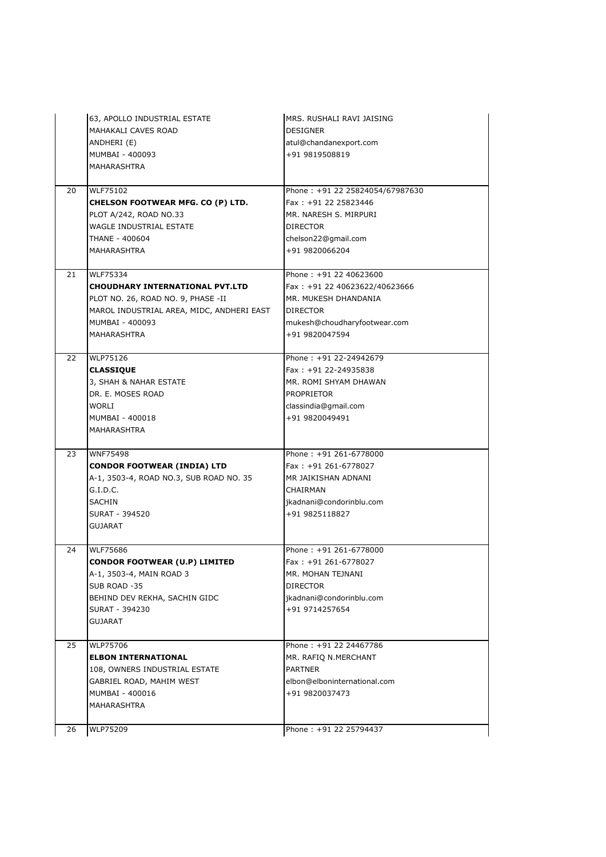|    | 63, APOLLO INDUSTRIAL ESTATE<br>MAHAKALI CAVES ROAD<br>ANDHERI (E)<br>MUMBAI - 400093<br><b>MAHARASHTRA</b>                                                                    | MRS. RUSHALI RAVI JAISING<br><b>DESIGNER</b><br>atul@chandanexport.com<br>+91 9819508819                                                             |
|----|--------------------------------------------------------------------------------------------------------------------------------------------------------------------------------|------------------------------------------------------------------------------------------------------------------------------------------------------|
| 20 | WLF75102<br>CHELSON FOOTWEAR MFG. CO (P) LTD.<br>PLOT A/242, ROAD NO.33<br>WAGLE INDUSTRIAL ESTATE<br>THANE - 400604<br>MAHARASHTRA                                            | Phone: +91 22 25824054/67987630<br>Fax: +91 22 25823446<br>MR. NARESH S. MIRPURI<br><b>DIRECTOR</b><br>chelson22@gmail.com<br>+91 9820066204         |
| 21 | WLF75334<br><b>CHOUDHARY INTERNATIONAL PVT.LTD</b><br>PLOT NO. 26, ROAD NO. 9, PHASE -II<br>MAROL INDUSTRIAL AREA, MIDC, ANDHERI EAST<br>MUMBAI - 400093<br><b>MAHARASHTRA</b> | Phone: +91 22 40623600<br>Fax: +91 22 40623622/40623666<br>MR. MUKESH DHANDANIA<br><b>DIRECTOR</b><br>mukesh@choudharyfootwear.com<br>+91 9820047594 |
| 22 | WLP75126<br><b>CLASSIQUE</b><br>3, SHAH & NAHAR ESTATE<br>DR. E. MOSES ROAD<br><b>WORLI</b><br>MUMBAI - 400018<br>MAHARASHTRA                                                  | Phone: +91 22-24942679<br>Fax: +91 22-24935838<br>MR. ROMI SHYAM DHAWAN<br><b>PROPRIETOR</b><br>classindia@gmail.com<br>+91 9820049491               |
| 23 | <b>WNF75498</b><br><b>CONDOR FOOTWEAR (INDIA) LTD</b><br>A-1, 3503-4, ROAD NO.3, SUB ROAD NO. 35<br>G.I.D.C.<br><b>SACHIN</b><br><b>SURAT - 394520</b><br><b>GUJARAT</b>       | Phone: +91 261-6778000<br>Fax: $+91$ 261-6778027<br>MR JAIKISHAN ADNANI<br>CHAIRMAN<br>jkadnani@condorinblu.com<br>+91 9825118827                    |
| 24 | <b>WLF75686</b><br><b>CONDOR FOOTWEAR (U.P) LIMITED</b><br>A-1, 3503-4, MAIN ROAD 3<br>SUB ROAD -35<br>BEHIND DEV REKHA, SACHIN GIDC<br>SURAT - 394230<br><b>GUJARAT</b>       | Phone: +91 261-6778000<br>Fax: +91 261-6778027<br>MR. MOHAN TEJNANI<br><b>DIRECTOR</b><br>jkadnani@condorinblu.com<br>+91 9714257654                 |
| 25 | WLP75706<br><b>ELBON INTERNATIONAL</b><br>108, OWNERS INDUSTRIAL ESTATE<br>GABRIEL ROAD, MAHIM WEST<br>MUMBAI - 400016<br>MAHARASHTRA                                          | Phone: +91 22 24467786<br>MR. RAFIQ N.MERCHANT<br><b>PARTNER</b><br>elbon@elboninternational.com<br>+91 9820037473                                   |
| 26 | WLP75209                                                                                                                                                                       | Phone: +91 22 25794437                                                                                                                               |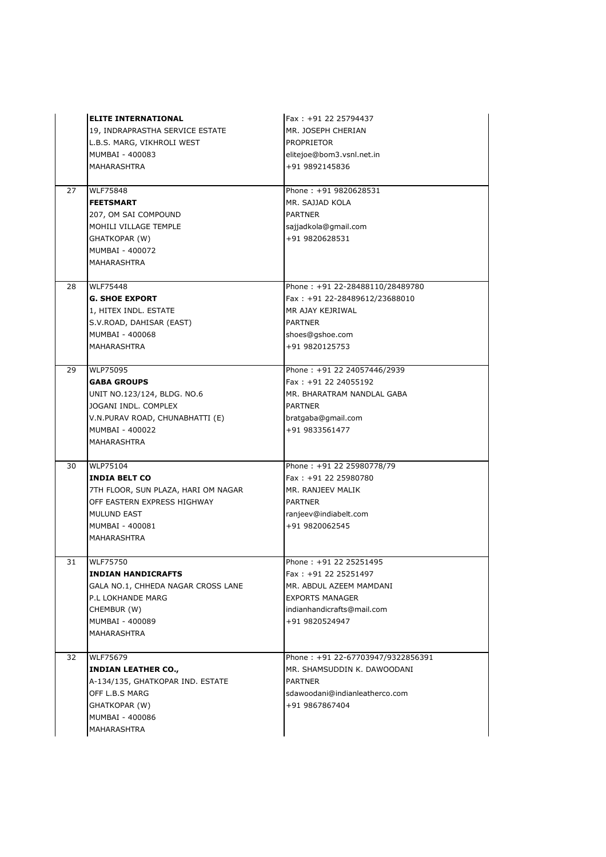|    | <b>ELITE INTERNATIONAL</b><br>19, INDRAPRASTHA SERVICE ESTATE<br>L.B.S. MARG, VIKHROLI WEST<br>MUMBAI - 400083<br>MAHARASHTRA                                  | Fax: +91 22 25794437<br>MR. JOSEPH CHERIAN<br><b>PROPRIETOR</b><br>elitejoe@bom3.vsnl.net.in<br>+91 9892145836                                      |
|----|----------------------------------------------------------------------------------------------------------------------------------------------------------------|-----------------------------------------------------------------------------------------------------------------------------------------------------|
| 27 | <b>WLF75848</b>                                                                                                                                                | Phone: +91 9820628531                                                                                                                               |
|    | <b>FEETSMART</b><br>207, OM SAI COMPOUND<br>MOHILI VILLAGE TEMPLE<br>GHATKOPAR (W)<br>MUMBAI - 400072<br>MAHARASHTRA                                           | MR. SAJJAD KOLA<br><b>PARTNER</b><br>sajjadkola@gmail.com<br>+91 9820628531                                                                         |
| 28 | <b>WLF75448</b><br><b>G. SHOE EXPORT</b><br>1, HITEX INDL. ESTATE<br>S.V.ROAD, DAHISAR (EAST)<br>MUMBAI - 400068<br>MAHARASHTRA                                | Phone: +91 22-28488110/28489780<br>Fax: +91 22-28489612/23688010<br>MR AJAY KEJRIWAL<br><b>PARTNER</b><br>shoes@gshoe.com<br>+91 9820125753         |
| 29 | WLP75095<br><b>GABA GROUPS</b><br>UNIT NO.123/124, BLDG. NO.6<br>JOGANI INDL. COMPLEX<br>V.N.PURAV ROAD, CHUNABHATTI (E)<br>MUMBAI - 400022<br>MAHARASHTRA     | Phone: +91 22 24057446/2939<br>Fax: +91 22 24055192<br>MR. BHARATRAM NANDLAL GABA<br><b>PARTNER</b><br>bratgaba@gmail.com<br>+91 9833561477         |
| 30 | WLP75104<br><b>INDIA BELT CO</b><br>7TH FLOOR, SUN PLAZA, HARI OM NAGAR<br>OFF EASTERN EXPRESS HIGHWAY<br><b>MULUND EAST</b><br>MUMBAI - 400081<br>MAHARASHTRA | Phone: +91 22 25980778/79<br>Fax: +91 22 25980780<br>MR. RANJEEV MALIK<br><b>PARTNER</b><br>ranjeev@indiabelt.com<br>+91 9820062545                 |
| 31 | <b>WLF75750</b><br><b>INDIAN HANDICRAFTS</b><br>GALA NO.1, CHHEDA NAGAR CROSS LANE<br>P.L LOKHANDE MARG<br>CHEMBUR (W)<br>MUMBAI - 400089<br>MAHARASHTRA       | Phone: +91 22 25251495<br>Fax: +91 22 25251497<br>MR. ABDUL AZEEM MAMDANI<br><b>EXPORTS MANAGER</b><br>indianhandicrafts@mail.com<br>+91 9820524947 |
| 32 | <b>WLF75679</b><br><b>INDIAN LEATHER CO.,</b><br>A-134/135, GHATKOPAR IND. ESTATE<br>OFF L.B.S MARG<br>GHATKOPAR (W)<br>MUMBAI - 400086<br>MAHARASHTRA         | Phone: +91 22-67703947/9322856391<br>MR. SHAMSUDDIN K. DAWOODANI<br><b>PARTNER</b><br>sdawoodani@indianleatherco.com<br>+91 9867867404              |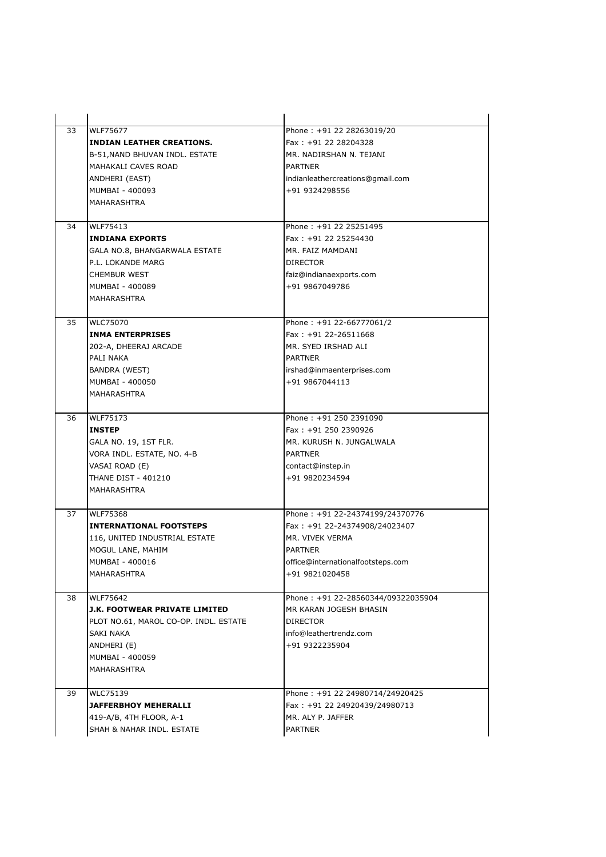| 33 | <b>WLF75677</b>                       | Phone: +91 22 28263019/20          |
|----|---------------------------------------|------------------------------------|
|    | <b>INDIAN LEATHER CREATIONS.</b>      | Fax: +91 22 28204328               |
|    | B-51, NAND BHUVAN INDL. ESTATE        | MR. NADIRSHAN N. TEJANI            |
|    | MAHAKALI CAVES ROAD                   | <b>PARTNER</b>                     |
|    | ANDHERI (EAST)                        | indianleathercreations@gmail.com   |
|    | MUMBAI - 400093                       | +91 9324298556                     |
|    | MAHARASHTRA                           |                                    |
| 34 | <b>WLF75413</b>                       | Phone: +91 22 25251495             |
|    | <b>INDIANA EXPORTS</b>                | Fax: +91 22 25254430               |
|    | GALA NO.8, BHANGARWALA ESTATE         | MR. FAIZ MAMDANI                   |
|    | P.L. LOKANDE MARG                     | <b>DIRECTOR</b>                    |
|    | <b>CHEMBUR WEST</b>                   | faiz@indianaexports.com            |
|    | MUMBAI - 400089                       | +91 9867049786                     |
|    | <b>MAHARASHTRA</b>                    |                                    |
| 35 | <b>WLC75070</b>                       | Phone: +91 22-66777061/2           |
|    | <b>INMA ENTERPRISES</b>               | Fax: +91 22-26511668               |
|    | 202-A, DHEERAJ ARCADE                 | MR. SYED IRSHAD ALI                |
|    | PALI NAKA                             | <b>PARTNER</b>                     |
|    | <b>BANDRA (WEST)</b>                  | irshad@inmaenterprises.com         |
|    | MUMBAI - 400050                       | +91 9867044113                     |
|    | <b>MAHARASHTRA</b>                    |                                    |
| 36 | <b>WLF75173</b>                       | Phone: +91 250 2391090             |
|    | <b>INSTEP</b>                         | Fax: +91 250 2390926               |
|    | GALA NO. 19, 1ST FLR.                 | MR. KURUSH N. JUNGALWALA           |
|    | VORA INDL. ESTATE, NO. 4-B            | <b>PARTNER</b>                     |
|    | VASAI ROAD (E)                        | contact@instep.in                  |
|    | <b>THANE DIST - 401210</b>            | +91 9820234594                     |
|    | MAHARASHTRA                           |                                    |
| 37 | <b>WLF75368</b>                       | Phone: +91 22-24374199/24370776    |
|    | <b>INTERNATIONAL FOOTSTEPS</b>        | Fax: +91 22-24374908/24023407      |
|    | 116, UNITED INDUSTRIAL ESTATE         | MR. VIVEK VERMA                    |
|    | MOGUL LANE, MAHIM                     | <b>PARTNER</b>                     |
|    | MUMBAI - 400016                       | office@internationalfootsteps.com  |
|    | MAHARASHTRA                           | +91 9821020458                     |
| 38 | <b>WLF75642</b>                       | Phone: +91 22-28560344/09322035904 |
|    | <b>J.K. FOOTWEAR PRIVATE LIMITED</b>  | MR KARAN JOGESH BHASIN             |
|    | PLOT NO.61, MAROL CO-OP. INDL. ESTATE | <b>DIRECTOR</b>                    |
|    | SAKI NAKA                             | info@leathertrendz.com             |
|    | ANDHERI (E)                           | +91 9322235904                     |
|    | MUMBAI - 400059                       |                                    |
|    |                                       |                                    |
|    | MAHARASHTRA                           |                                    |
|    | <b>WLC75139</b>                       | Phone: +91 22 24980714/24920425    |
|    | <b>JAFFERBHOY MEHERALLI</b>           | Fax: +91 22 24920439/24980713      |
| 39 | 419-A/B, 4TH FLOOR, A-1               | MR. ALY P. JAFFER                  |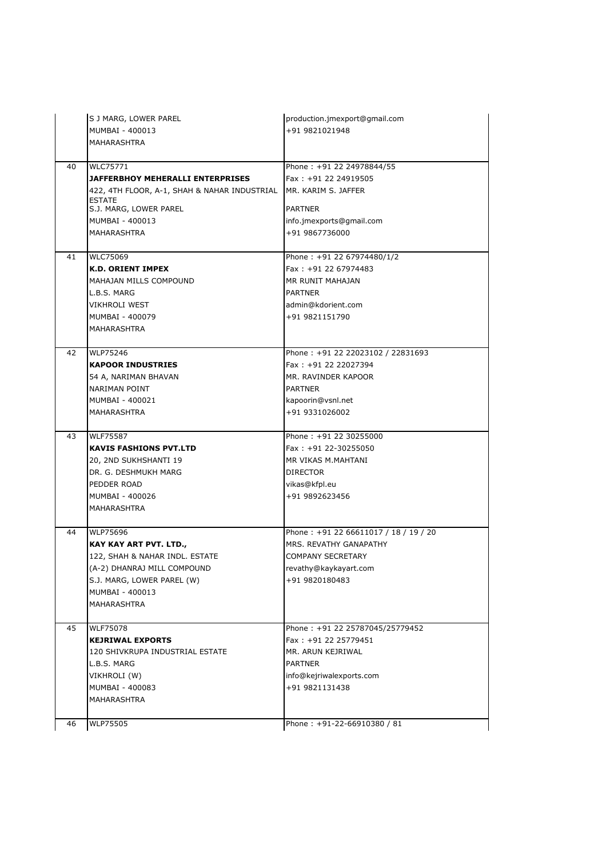|    | S J MARG, LOWER PAREL                        | production.jmexport@gmail.com         |
|----|----------------------------------------------|---------------------------------------|
|    | MUMBAI - 400013                              | +91 9821021948                        |
|    | MAHARASHTRA                                  |                                       |
|    |                                              |                                       |
| 40 | WLC75771                                     | Phone: +91 22 24978844/55             |
|    | <b>JAFFERBHOY MEHERALLI ENTERPRISES</b>      | Fax: +91 22 24919505                  |
|    | 422, 4TH FLOOR, A-1, SHAH & NAHAR INDUSTRIAL | MR. KARIM S. JAFFER                   |
|    | <b>ESTATE</b><br>S.J. MARG, LOWER PAREL      | <b>PARTNER</b>                        |
|    | MUMBAI - 400013                              | info.jmexports@gmail.com              |
|    | MAHARASHTRA                                  | +91 9867736000                        |
|    |                                              |                                       |
| 41 | <b>WLC75069</b>                              | Phone: +91 22 67974480/1/2            |
|    | <b>K.D. ORIENT IMPEX</b>                     | Fax: +91 22 67974483                  |
|    | MAHAJAN MILLS COMPOUND                       | MR RUNIT MAHAJAN                      |
|    | L.B.S. MARG                                  | <b>PARTNER</b>                        |
|    | VIKHROLI WEST                                | admin@kdorient.com                    |
|    | MUMBAI - 400079                              | +91 9821151790                        |
|    | MAHARASHTRA                                  |                                       |
|    |                                              |                                       |
| 42 | WLP75246                                     | Phone: +91 22 22023102 / 22831693     |
|    | <b>KAPOOR INDUSTRIES</b>                     | Fax: +91 22 22027394                  |
|    | 54 A, NARIMAN BHAVAN                         | MR. RAVINDER KAPOOR                   |
|    | <b>NARIMAN POINT</b>                         | <b>PARTNER</b>                        |
|    | MUMBAI - 400021                              | kapoorin@vsnl.net                     |
|    | <b>MAHARASHTRA</b>                           | +91 9331026002                        |
|    |                                              |                                       |
| 43 | <b>WLF75587</b>                              | Phone: +91 22 30255000                |
|    | <b>KAVIS FASHIONS PVT.LTD</b>                | Fax: +91 22-30255050                  |
|    | 20, 2ND SUKHSHANTI 19                        | MR VIKAS M.MAHTANI                    |
|    | DR. G. DESHMUKH MARG                         | DIRECTOR                              |
|    | PEDDER ROAD                                  | vikas@kfpl.eu                         |
|    | MUMBAI - 400026                              | +91 9892623456                        |
|    | MAHARASHTRA                                  |                                       |
|    |                                              |                                       |
| 44 | WLP75696                                     | Phone: +91 22 66611017 / 18 / 19 / 20 |
|    | KAY KAY ART PVT. LTD.                        | MRS. REVATHY GANAPATHY                |
|    | 122, SHAH & NAHAR INDL. ESTATE               | COMPANY SECRETARY                     |
|    | (A-2) DHANRAJ MILL COMPOUND                  | revathy@kaykayart.com                 |
|    | S.J. MARG, LOWER PAREL (W)                   | +91 9820180483                        |
|    | MUMBAI - 400013                              |                                       |
|    | MAHARASHTRA                                  |                                       |
| 45 | WLF75078                                     | Phone: +91 22 25787045/25779452       |
|    | <b>KEJRIWAL EXPORTS</b>                      | Fax: +91 22 25779451                  |
|    | 120 SHIVKRUPA INDUSTRIAL ESTATE              | MR. ARUN KEJRIWAL                     |
|    |                                              |                                       |
|    | L.B.S. MARG                                  | <b>PARTNER</b>                        |
|    | VIKHROLI (W)                                 | info@kejriwalexports.com              |
|    | MUMBAI - 400083                              | +91 9821131438                        |
|    | MAHARASHTRA                                  |                                       |
| 46 | WLP75505                                     | Phone: +91-22-66910380 / 81           |
|    |                                              |                                       |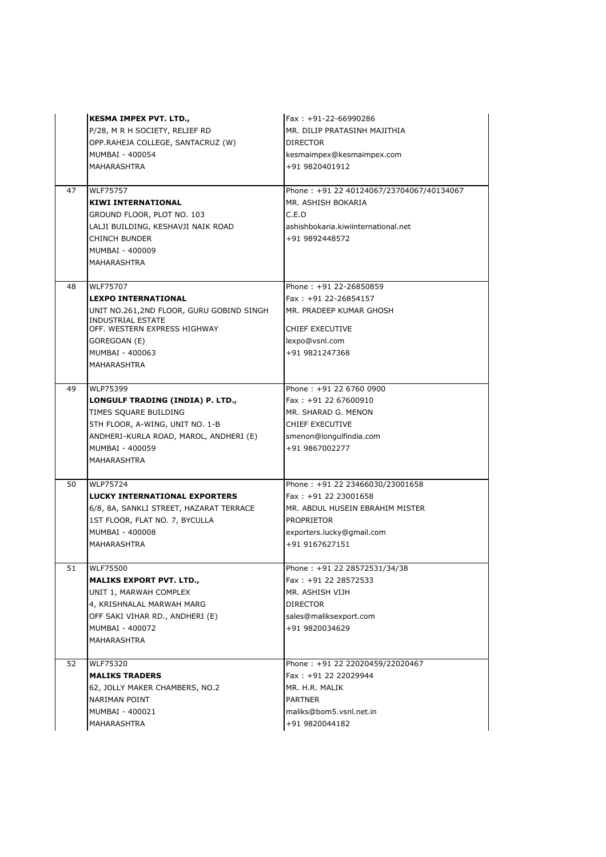| 47 | <b>KESMA IMPEX PVT. LTD.,</b><br>P/28, M R H SOCIETY, RELIEF RD<br>OPP.RAHEJA COLLEGE, SANTACRUZ (W)<br>MUMBAI - 400054<br><b>MAHARASHTRA</b><br><b>WLF75757</b>                                        | Fax: +91-22-66990286<br>MR. DILIP PRATASINH MAJITHIA<br>DIRECTOR<br>kesmaimpex@kesmaimpex.com<br>+91 9820401912<br>Phone: +91 22 40124067/23704067/40134067    |
|----|---------------------------------------------------------------------------------------------------------------------------------------------------------------------------------------------------------|----------------------------------------------------------------------------------------------------------------------------------------------------------------|
|    | <b>KIWI INTERNATIONAL</b><br>GROUND FLOOR, PLOT NO. 103<br>LALJI BUILDING, KESHAVJI NAIK ROAD<br><b>CHINCH BUNDER</b><br>MUMBAI - 400009<br>MAHARASHTRA                                                 | MR. ASHISH BOKARIA<br>C.E.O<br>ashishbokaria.kiwiinternational.net<br>+91 9892448572                                                                           |
| 48 | <b>WLF75707</b><br><b>LEXPO INTERNATIONAL</b><br>UNIT NO.261,2ND FLOOR, GURU GOBIND SINGH<br><b>INDUSTRIAL ESTATE</b><br>OFF. WESTERN EXPRESS HIGHWAY<br>GOREGOAN (E)<br>MUMBAI - 400063<br>MAHARASHTRA | Phone: +91 22-26850859<br>Fax: +91 22-26854157<br>MR. PRADEEP KUMAR GHOSH<br>CHIEF EXECUTIVE<br>lexpo@vsnl.com<br>+91 9821247368                               |
| 49 | WLP75399<br>LONGULF TRADING (INDIA) P. LTD.,<br>TIMES SQUARE BUILDING<br>5TH FLOOR, A-WING, UNIT NO. 1-B<br>ANDHERI-KURLA ROAD, MAROL, ANDHERI (E)<br>MUMBAI - 400059<br>MAHARASHTRA                    | Phone: +91 22 6760 0900<br>Fax: +91 22 67600910<br>MR. SHARAD G. MENON<br>CHIEF EXECUTIVE<br>smenon@longulfindia.com<br>+91 9867002277                         |
| 50 | <b>WLP75724</b><br><b>LUCKY INTERNATIONAL EXPORTERS</b><br>6/8, 8A, SANKLI STREET, HAZARAT TERRACE<br>1ST FLOOR, FLAT NO. 7, BYCULLA<br>MUMBAI - 400008<br>MAHARASHTRA                                  | Phone: +91 22 23466030/23001658<br>Fax: +91 22 23001658<br>MR. ABDUL HUSEIN EBRAHIM MISTER<br><b>PROPRIETOR</b><br>exporters.lucky@gmail.com<br>+91 9167627151 |
| 51 | <b>WLF75500</b><br><b>MALIKS EXPORT PVT. LTD.,</b><br>UNIT 1, MARWAH COMPLEX<br>4, KRISHNALAL MARWAH MARG<br>OFF SAKI VIHAR RD., ANDHERI (E)<br>MUMBAI - 400072<br>MAHARASHTRA                          | Phone: +91 22 28572531/34/38<br>Fax: +91 22 28572533<br>MR. ASHISH VIJH<br>DIRECTOR<br>sales@maliksexport.com<br>+91 9820034629                                |
| 52 | <b>WLF75320</b><br><b>MALIKS TRADERS</b><br>62, JOLLY MAKER CHAMBERS, NO.2<br>NARIMAN POINT<br>MUMBAI - 400021<br>MAHARASHTRA                                                                           | Phone: +91 22 22020459/22020467<br>Fax: +91 22 22029944<br>MR. H.R. MALIK<br><b>PARTNER</b><br>maliks@bom5.vsnl.net.in<br>+91 9820044182                       |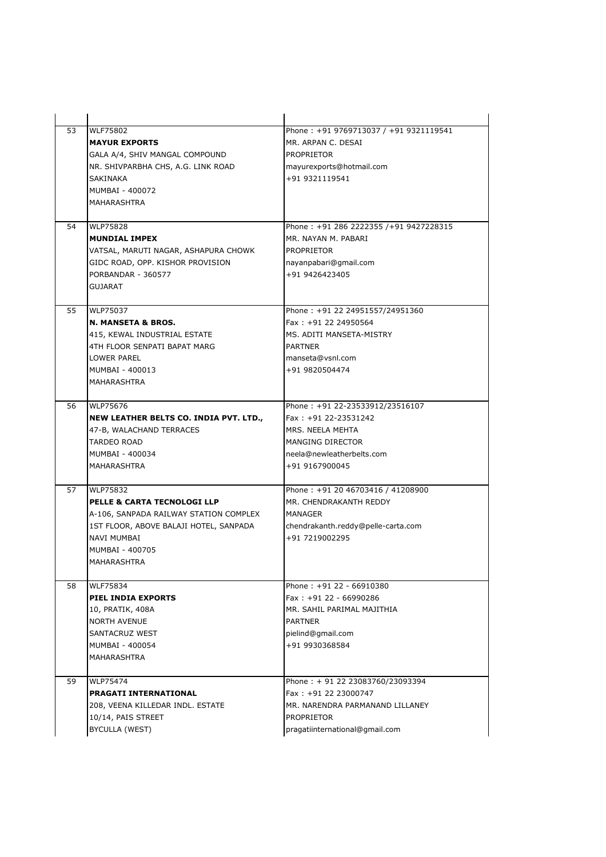| 53 | <b>WLF75802</b>                        | Phone: +91 9769713037 / +91 9321119541 |
|----|----------------------------------------|----------------------------------------|
|    | <b>MAYUR EXPORTS</b>                   | MR. ARPAN C. DESAI                     |
|    | GALA A/4, SHIV MANGAL COMPOUND         | <b>PROPRIETOR</b>                      |
|    | NR. SHIVPARBHA CHS, A.G. LINK ROAD     | mayurexports@hotmail.com               |
|    | SAKINAKA                               | +91 9321119541                         |
|    | MUMBAI - 400072                        |                                        |
|    | MAHARASHTRA                            |                                        |
| 54 | <b>WLP75828</b>                        | Phone: +91 286 2222355 /+91 9427228315 |
|    | <b>MUNDIAL IMPEX</b>                   | MR. NAYAN M. PABARI                    |
|    | VATSAL, MARUTI NAGAR, ASHAPURA CHOWK   | <b>PROPRIETOR</b>                      |
|    | GIDC ROAD, OPP. KISHOR PROVISION       | nayanpabari@gmail.com                  |
|    | <b>PORBANDAR - 360577</b>              | +91 9426423405                         |
|    | <b>GUJARAT</b>                         |                                        |
| 55 | WLP75037                               | Phone: +91 22 24951557/24951360        |
|    | <b>N. MANSETA &amp; BROS.</b>          | Fax: +91 22 24950564                   |
|    | 415, KEWAL INDUSTRIAL ESTATE           | MS. ADITI MANSETA-MISTRY               |
|    | 4TH FLOOR SENPATI BAPAT MARG           | <b>PARTNER</b>                         |
|    | LOWER PAREL                            | manseta@vsnl.com                       |
|    | MUMBAI - 400013                        | +91 9820504474                         |
|    | <b>MAHARASHTRA</b>                     |                                        |
| 56 | WLP75676                               | Phone: +91 22-23533912/23516107        |
|    | NEW LEATHER BELTS CO. INDIA PVT. LTD., | Fax: +91 22-23531242                   |
|    | 47-B, WALACHAND TERRACES               | MRS. NEELA MEHTA                       |
|    | <b>TARDEO ROAD</b>                     | <b>MANGING DIRECTOR</b>                |
|    | MUMBAI - 400034                        | neela@newleatherbelts.com              |
|    | MAHARASHTRA                            | +91 9167900045                         |
| 57 | <b>WLP75832</b>                        | Phone: +91 20 46703416 / 41208900      |
|    | PELLE & CARTA TECNOLOGI LLP            | MR. CHENDRAKANTH REDDY                 |
|    | A-106, SANPADA RAILWAY STATION COMPLEX | <b>MANAGER</b>                         |
|    | 1ST FLOOR, ABOVE BALAJI HOTEL, SANPADA | chendrakanth.reddy@pelle-carta.com     |
|    | <b>NAVI MUMBAI</b>                     | +91 7219002295                         |
|    | MUMBAI - 400705                        |                                        |
|    | MAHARASHTRA                            |                                        |
| 58 | <b>WLF75834</b>                        | Phone: +91 22 - 66910380               |
|    | PIEL INDIA EXPORTS                     | Fax: +91 22 - 66990286                 |
|    | 10, PRATIK, 408A                       | MR. SAHIL PARIMAL MAJITHIA             |
|    | <b>NORTH AVENUE</b>                    | <b>PARTNER</b>                         |
|    | SANTACRUZ WEST                         | pielind@gmail.com                      |
|    | MUMBAI - 400054                        | +91 9930368584                         |
|    | MAHARASHTRA                            |                                        |
| 59 | <b>WLP75474</b>                        | Phone: +91 22 23083760/23093394        |
|    | <b>PRAGATI INTERNATIONAL</b>           | Fax: +91 22 23000747                   |
|    | 208, VEENA KILLEDAR INDL. ESTATE       | MR. NARENDRA PARMANAND LILLANEY        |
|    |                                        | <b>PROPRIETOR</b>                      |
|    | 10/14, PAIS STREET                     |                                        |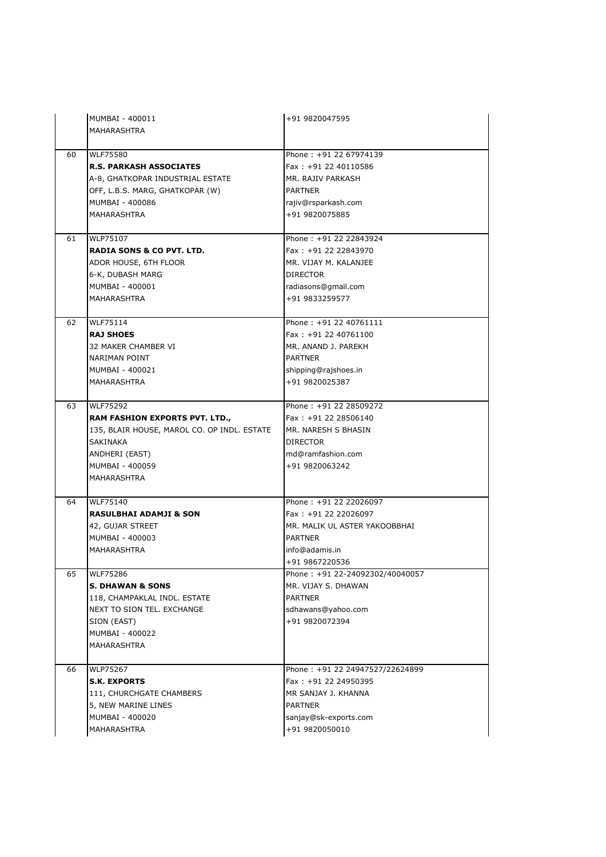|    | MUMBAI - 400011                             | +91 9820047595                  |
|----|---------------------------------------------|---------------------------------|
|    | MAHARASHTRA                                 |                                 |
| 60 | <b>WLF75580</b>                             | Phone: +91 22 67974139          |
|    | <b>R.S. PARKASH ASSOCIATES</b>              | Fax: +91 22 40110586            |
|    | A-8, GHATKOPAR INDUSTRIAL ESTATE            | MR. RAJIV PARKASH               |
|    | OFF, L.B.S. MARG, GHATKOPAR (W)             | <b>PARTNER</b>                  |
|    | MUMBAI - 400086                             | rajiv@rsparkash.com             |
|    | MAHARASHTRA                                 | +91 9820075885                  |
|    |                                             |                                 |
| 61 | WLP75107                                    | Phone: +91 22 22843924          |
|    | <b>RADIA SONS &amp; CO PVT. LTD.</b>        | Fax: +91 22 22843970            |
|    | ADOR HOUSE, 6TH FLOOR                       | MR. VIJAY M. KALANJEE           |
|    | 6-K, DUBASH MARG                            | <b>DIRECTOR</b>                 |
|    | MUMBAI - 400001                             | radiasons@gmail.com             |
|    | MAHARASHTRA                                 | +91 9833259577                  |
|    |                                             |                                 |
| 62 | <b>WLF75114</b>                             | Phone: +91 22 40761111          |
|    | <b>RAJ SHOES</b>                            | Fax: +91 22 40761100            |
|    | 32 MAKER CHAMBER VI                         | MR. ANAND J. PAREKH             |
|    | NARIMAN POINT                               | <b>PARTNER</b>                  |
|    | MUMBAI - 400021                             | shipping@rajshoes.in            |
|    | MAHARASHTRA                                 | +91 9820025387                  |
|    |                                             |                                 |
| 63 | <b>WLF75292</b>                             | Phone: +91 22 28509272          |
|    | RAM FASHION EXPORTS PVT. LTD.,              | Fax: +91 22 28506140            |
|    | 135, BLAIR HOUSE, MAROL CO. OP INDL. ESTATE | MR. NARESH S BHASIN             |
|    | SAKINAKA                                    | <b>DIRECTOR</b>                 |
|    | ANDHERI (EAST)                              | md@ramfashion.com               |
|    | MUMBAI - 400059                             | +91 9820063242                  |
|    | MAHARASHTRA                                 |                                 |
| 64 | <b>WLF75140</b>                             | Phone: +91 22 22026097          |
|    | <b>RASULBHAI ADAMJI &amp; SON</b>           | Fax: +91 22 22026097            |
|    | 42, GUJAR STREET                            | MR. MALIK UL ASTER YAKOOBBHAI   |
|    | MUMBAI - 400003                             | <b>PARTNER</b>                  |
|    | MAHARASHTRA                                 | info@adamis.in                  |
|    |                                             | +91 9867220536                  |
| 65 | <b>WLF75286</b>                             | Phone: +91 22-24092302/40040057 |
|    | <b>S. DHAWAN &amp; SONS</b>                 | MR. VIJAY S. DHAWAN             |
|    | 118, CHAMPAKLAL INDL. ESTATE                | <b>PARTNER</b>                  |
|    | NEXT TO SION TEL. EXCHANGE                  | sdhawans@yahoo.com              |
|    | SION (EAST)                                 | +91 9820072394                  |
|    | MUMBAI - 400022                             |                                 |
|    | <b>MAHARASHTRA</b>                          |                                 |
|    |                                             |                                 |
| 66 | WLP75267                                    | Phone: +91 22 24947527/22624899 |
|    |                                             | Fax: +91 22 24950395            |
|    | <b>S.K. EXPORTS</b>                         |                                 |
|    | 111, CHURCHGATE CHAMBERS                    | MR SANJAY J. KHANNA             |
|    | 5, NEW MARINE LINES                         | <b>PARTNER</b>                  |
|    | MUMBAI - 400020                             | sanjay@sk-exports.com           |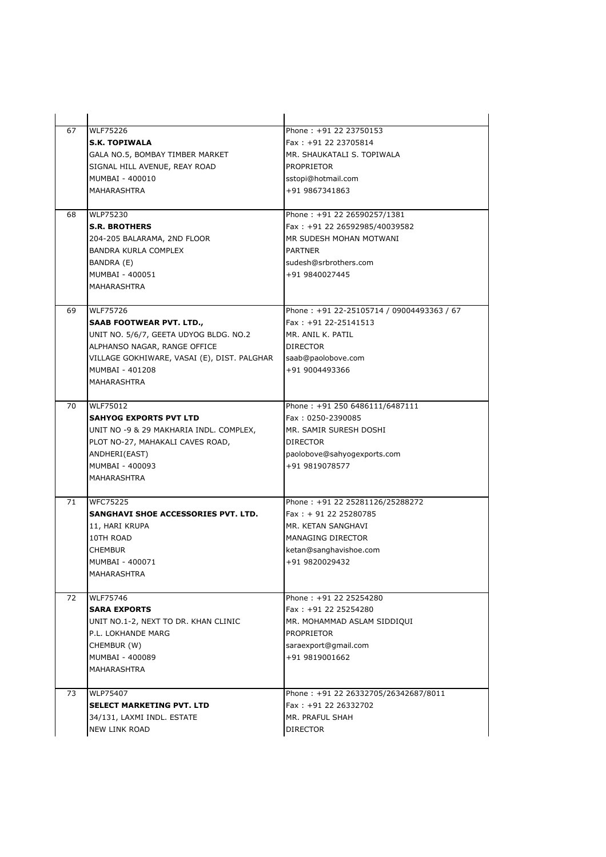| 67 | <b>WLF75226</b>                             | Phone: +91 22 23750153                    |
|----|---------------------------------------------|-------------------------------------------|
|    | <b>S.K. TOPIWALA</b>                        | Fax: +91 22 23705814                      |
|    | GALA NO.5, BOMBAY TIMBER MARKET             | MR. SHAUKATALI S. TOPIWALA                |
|    | SIGNAL HILL AVENUE, REAY ROAD               | <b>PROPRIETOR</b>                         |
|    | MUMBAI - 400010                             | sstopi@hotmail.com                        |
|    | <b>MAHARASHTRA</b>                          | +91 9867341863                            |
|    |                                             |                                           |
| 68 | WLP75230                                    | Phone: +91 22 26590257/1381               |
|    | <b>S.R. BROTHERS</b>                        | Fax: +91 22 26592985/40039582             |
|    | 204-205 BALARAMA, 2ND FLOOR                 | MR SUDESH MOHAN MOTWANI                   |
|    | <b>BANDRA KURLA COMPLEX</b>                 | <b>PARTNER</b>                            |
|    | BANDRA (E)                                  | sudesh@srbrothers.com                     |
|    | MUMBAI - 400051                             | +91 9840027445                            |
|    | MAHARASHTRA                                 |                                           |
|    |                                             |                                           |
| 69 | <b>WLF75726</b>                             | Phone: +91 22-25105714 / 09004493363 / 67 |
|    | <b>SAAB FOOTWEAR PVT. LTD.,</b>             | Fax: +91 22-25141513                      |
|    | UNIT NO. 5/6/7, GEETA UDYOG BLDG. NO.2      | MR. ANIL K. PATIL                         |
|    | ALPHANSO NAGAR, RANGE OFFICE                | <b>DIRECTOR</b>                           |
|    | VILLAGE GOKHIWARE, VASAI (E), DIST. PALGHAR | saab@paolobove.com                        |
|    | MUMBAI - 401208                             | +91 9004493366                            |
|    | <b>MAHARASHTRA</b>                          |                                           |
| 70 | <b>WLF75012</b>                             | Phone: +91 250 6486111/6487111            |
|    | <b>SAHYOG EXPORTS PVT LTD</b>               | Fax: 0250-2390085                         |
|    | UNIT NO -9 & 29 MAKHARIA INDL. COMPLEX,     | MR. SAMIR SURESH DOSHI                    |
|    | PLOT NO-27, MAHAKALI CAVES ROAD,            | <b>DIRECTOR</b>                           |
|    | ANDHERI(EAST)                               | paolobove@sahyogexports.com               |
|    | MUMBAI - 400093                             | +91 9819078577                            |
|    | MAHARASHTRA                                 |                                           |
| 71 | <b>WFC75225</b>                             | Phone: +91 22 25281126/25288272           |
|    | SANGHAVI SHOE ACCESSORIES PVT. LTD.         | $Fax: + 91 22 25280785$                   |
|    | 11, HARI KRUPA                              | MR. KETAN SANGHAVI                        |
|    | 10TH ROAD                                   | <b>MANAGING DIRECTOR</b>                  |
|    | <b>CHEMBUR</b>                              | ketan@sanghavishoe.com                    |
|    | MUMBAI - 400071                             | +91 9820029432                            |
|    | MAHARASHTRA                                 |                                           |
|    |                                             |                                           |
| 72 | <b>WLF75746</b>                             | Phone: +91 22 25254280                    |
|    | <b>SARA EXPORTS</b>                         | Fax: +91 22 25254280                      |
|    | UNIT NO.1-2, NEXT TO DR. KHAN CLINIC        | MR. MOHAMMAD ASLAM SIDDIQUI               |
|    | P.L. LOKHANDE MARG                          | <b>PROPRIETOR</b>                         |
|    | CHEMBUR (W)                                 | saraexport@gmail.com                      |
|    | MUMBAI - 400089                             | +91 9819001662                            |
|    | MAHARASHTRA                                 |                                           |
| 73 | WLP75407                                    | Phone: +91 22 26332705/26342687/8011      |
|    | <b>SELECT MARKETING PVT. LTD</b>            | Fax: +91 22 26332702                      |
|    |                                             |                                           |
|    | 34/131, LAXMI INDL. ESTATE<br>NEW LINK ROAD | MR. PRAFUL SHAH<br><b>DIRECTOR</b>        |
|    |                                             |                                           |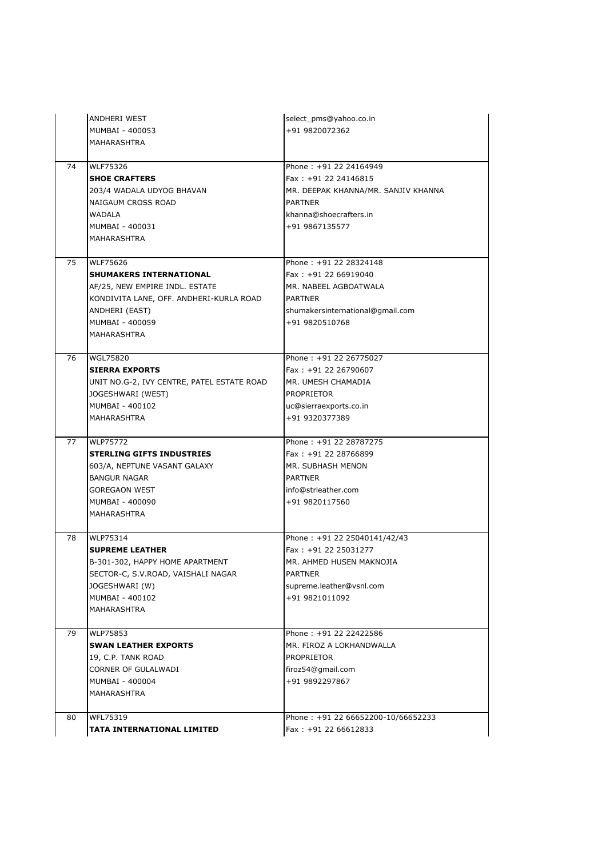|    | ANDHERI WEST                                         | select_pms@yahoo.co.in              |
|----|------------------------------------------------------|-------------------------------------|
|    | MUMBAI - 400053                                      | +91 9820072362                      |
|    | MAHARASHTRA                                          |                                     |
| 74 | <b>WLF75326</b>                                      | Phone: +91 22 24164949              |
|    | <b>SHOE CRAFTERS</b>                                 | Fax: $+91$ 22 24146815              |
|    | 203/4 WADALA UDYOG BHAVAN                            | MR. DEEPAK KHANNA/MR. SANJIV KHANNA |
|    | NAIGAUM CROSS ROAD                                   | <b>PARTNER</b>                      |
|    | WADALA                                               | khanna@shoecrafters.in              |
|    | MUMBAI - 400031                                      | +91 9867135577                      |
|    | MAHARASHTRA                                          |                                     |
| 75 | <b>WLF75626</b>                                      | Phone: +91 22 28324148              |
|    | <b>SHUMAKERS INTERNATIONAL</b>                       | Fax: +91 22 66919040                |
|    | AF/25, NEW EMPIRE INDL. ESTATE                       | MR. NABEEL AGBOATWALA               |
|    | KONDIVITA LANE, OFF. ANDHERI-KURLA ROAD              | <b>PARTNER</b>                      |
|    | ANDHERI (EAST)                                       | shumakersinternational@gmail.com    |
|    | MUMBAI - 400059                                      | +91 9820510768                      |
|    | <b>MAHARASHTRA</b>                                   |                                     |
|    |                                                      |                                     |
| 76 | WGL75820                                             | Phone: +91 22 26775027              |
|    | <b>SIERRA EXPORTS</b>                                | Fax: +91 22 26790607                |
|    | UNIT NO.G-2, IVY CENTRE, PATEL ESTATE ROAD           | MR. UMESH CHAMADIA                  |
|    | JOGESHWARI (WEST)                                    | <b>PROPRIETOR</b>                   |
|    | MUMBAI - 400102                                      | uc@sierraexports.co.in              |
|    | MAHARASHTRA                                          | +91 9320377389                      |
| 77 | <b>WLP75772</b>                                      | Phone: +91 22 28787275              |
|    | <b>STERLING GIFTS INDUSTRIES</b>                     | Fax: +91 22 28766899                |
|    | 603/A, NEPTUNE VASANT GALAXY                         | MR. SUBHASH MENON                   |
|    | <b>BANGUR NAGAR</b>                                  | <b>PARTNER</b>                      |
|    | <b>GOREGAON WEST</b>                                 | info@strleather.com                 |
|    | MUMBAI - 400090                                      | +91 9820117560                      |
|    | <b>MAHARASHTRA</b>                                   |                                     |
| 78 | WLP75314                                             | Phone: +91 22 25040141/42/43        |
|    | <b>SUPREME LEATHER</b>                               | Fax: +91 22 25031277                |
|    | B-301-302, HAPPY HOME APARTMENT                      | MR. AHMED HUSEN MAKNOJIA            |
|    |                                                      | <b>PARTNER</b>                      |
|    |                                                      |                                     |
|    | SECTOR-C, S.V.ROAD, VAISHALI NAGAR<br>JOGESHWARI (W) | supreme.leather@vsnl.com            |
|    | MUMBAI - 400102                                      | +91 9821011092                      |
|    | MAHARASHTRA                                          |                                     |
|    |                                                      |                                     |
| 79 | WLP75853                                             | Phone: +91 22 22422586              |
|    | <b>SWAN LEATHER EXPORTS</b>                          | MR. FIROZ A LOKHANDWALLA            |
|    | 19, C.P. TANK ROAD                                   | <b>PROPRIETOR</b>                   |
|    | CORNER OF GULALWADI                                  | firoz54@gmail.com                   |
|    | MUMBAI - 400004                                      | +91 9892297867                      |
|    | MAHARASHTRA                                          |                                     |
| 80 | WFL75319                                             | Phone: +91 22 66652200-10/66652233  |